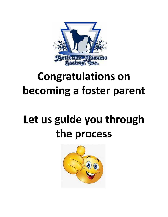

# **Congratulations on becoming a foster parent**

# **Let us guide you through the process**

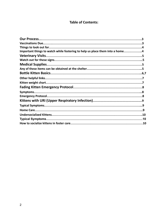## **Table of Contents:**

| Important things to watch while fostering to help us place them into a home4 |  |
|------------------------------------------------------------------------------|--|
|                                                                              |  |
|                                                                              |  |
|                                                                              |  |
|                                                                              |  |
|                                                                              |  |
|                                                                              |  |
|                                                                              |  |
|                                                                              |  |
|                                                                              |  |
|                                                                              |  |
|                                                                              |  |
|                                                                              |  |
|                                                                              |  |
|                                                                              |  |
|                                                                              |  |
|                                                                              |  |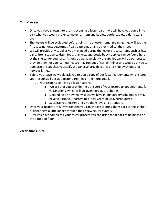#### **Our Process:**

- Once you have shown interest in becoming a foster parent we will have you come in to pick what you would prefer to foster ie. mom and babies, bottle babies, older kittens, etc.
- The fosters will be evaluated before going into a foster home, meaning they will get their first vaccinations, dewormer, flea treatment, or any other medical they need.
- We will provide any supplies you may need during the foster process. Items such as litter pans, litter, scoopers, kitten food, blankets, and bottle baby supplies can be found here at the shelter for your use. As long as we have plenty of supplies we will do our best to provide them for you (sometimes we may run out of certain things and would ask you to purchase the supplies yourself). We can also provide crates and hide-away beds for nervous kitties.
- Before you leave we would ask you to sign a copy of our foster agreement, which states your responsibilities as a foster parent in a little more detail.
	- Your responsibilities as a foster parent:
		- We ask that you provide the transport of your fosters to appointments for vaccinations, which will be given here at the shelter.
		- Depending on how many spots we have in our surgery schedule we may have you run your fosters to a local vet to be spayed/neutered.
		- Socialize your fosters and give them love and attention.
- Once your fosters are fully vaccinated you can choose to bring them back to the shelter or keep them a little longer through their spay/neuter surgery.
- After you have completed your foster process you can bring them back to be placed on the adoption floor

#### **Vaccinations Due:**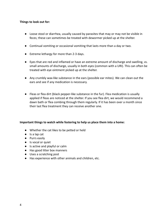#### **Things to look out for:**

- Loose stool or diarrhea, usually caused by parasites that may or may not be visible in feces; these can sometimes be treated with dewormer picked up at the shelter.
- Continual vomiting or occasional vomiting that lasts more than a day or two.
- Extreme lethargy for more than 2-3 days.
- Eyes that are red and inflamed or have an extreme amount of discharge and swelling, vs. small amounts of discharge, usually in both eyes (common with a URI). This can often be treated with eye ointment picked up at the shelter.
- Any crumbly wax-like substance in the ears (possible ear mites). We can clean out the ears and see if any medication is necessary.
- Fleas or flea dirt (black pepper-like substance in the fur). Flea medication is usually applied if fleas are noticed at the shelter. If you see flea dirt, we would recommend a dawn bath or flea combing through them regularly. If it has been over a month since their last flea treatment they can receive another one.

#### **Important things to watch while fostering to help us place them into a home:**

- Whether the cat likes to be petted or held
- Is a lap cat
- Purrs easily
- Is vocal or quiet
- Is active and playful or calm
- Has good litter box manners
- Uses a scratching post
- Has experience with other animals and children, etc.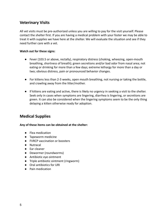### **Veterinary Visits**

All vet visits must be pre-authorized unless you are willing to pay for the visit yourself. Please contact the shelter first. If you are having a medical problem with your foster we may be able to treat it with supplies we have here at the shelter. We will evaluate the situation and see if they need further care with a vet.

#### **Watch out for these signs:**

- Fever (103.5 or above, rectally), respiratory distress (choking, wheezing, open-mouth breathing, shortness of breath); green secretions and/or bad odor from nasal area; not eating or drinking for more than a few days; extreme lethargy for more than a day or two; obvious distress, pain or pronounced behavior changes.
- For kittens less than 2-3 weeks, open mouth breathing, not nursing or taking the bottle, and crawling away from the litter/mother.
- If kittens are eating and active, there is likely no urgency in seeking a visit to the shelter. Seek only in cases when symptoms are lingering, diarrhea is lingering, or secretions are green. It can also be considered when the lingering symptoms seem to be the only thing delaying a kitten otherwise ready for adoption.

### **Medical Supplies**

#### **Any of these items can be obtained at the shelter:**

- Flea medication
- Tapeworm medicine
- FVRCP vaccination or boosters
- Nutracal
- Ear cleaner
- Dewormer (roundworms)
- Antibiotic eye ointment
- Triple antibiotic ointment (ringworm)
- Oral antibiotics for URI
- Pain medication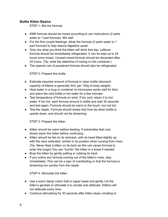#### **Bottle Kitten Basics**

STEP 1: Mix the formula

- KMR formula should be mixed according to can instructions (2 parts water to 1 part formula). Mix well.
- For the first couple feedings, dilute the formula (3 parts water to 1 part formula) to help reduce digestive upset.
- Only mix what you think the kitten will drink that day. Leftover formula should be immediately refrigerated. It can be kept up to 24 hours once mixed. Unused mixed formula should be discarded after 24 hours. (Tip: write the date/time of mixing on the container.)
- The opened can of powdered formula should also be refrigerated.

#### STEP 2: Prepare the bottle

- Estimate required amount of formula in clean bottle (stomach capacity of kittens is generally 4mL per 100g of body weight).
- Heat water in a mug or container (a microwave works well for this) and place the cold bottle in hot water for a few minutes.
- Test temperature of formula on wrist. If too cool, return it to hot water. If too hot, swirl formula around in bottle and wait 30 seconds and test again. Formula should be warm to the touch, but not hot.
- Test the nipple. Formula should slowly drip from tip when bottle is upside down, and should not be streaming.

STEP 3: Prepare the kitten

- Kitten should be warm before feeding. If extremities feel cool, slowly warm the kitten before continuing.
- Kitten should be fed on its stomach, with its head tilted slightly up with the neck extended, similar to its position when nursing from mom. (Tip: Never feed a kitten on its back as this can cause formula to enter the lungs!) You can "burrito" the kitten in a towel if needed.
- Burp the kitten by gently patting or rubbing its back.
- If you notice any formula coming out of the kitten's nose, stop immediately. This can be a sign of overfeeding or that the formula is streaming too quickly from the nipple.

STEP 4: Stimulate the kitten

- Use a warm damp cotton ball or paper towel and gently rub the kitten's genitals to stimulate it to urinate and defecate. Kittens will not defecate every time.
- Continue stimulating for 30 seconds after kitten stops urinating to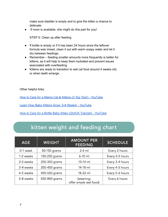make sure bladder is empty and to give the kitten a chance to defecate.

If mom is available, she might do this part for you!

STEP 5: Clean up after feeding

- If bottle is empty or if it has been 24 hours since the leftover formula was mixed, clean it out with warm soapy water and let it dry between feedings.
- Remember feeding smaller amounts more frequently is better for kittens, as it will help to keep them hydrated and prevent issues associated with overfeeding.
- Kittens are ready to transition to wet cat food around 4 weeks old, or when teeth emerge.

Other helpful links:

How to Care for a Mama Cat & Kittens (3 Top Tips!) - [YouTube](https://www.youtube.com/watch?v=KywmFOf917w)

Learn How Baby Kittens Grow: 0-8 Weeks! - [YouTube](https://www.youtube.com/watch?v=2_w-vOR0TuE)

How to Care for a Bottle Baby Kitten (QUICK Tutorial!) - [YouTube](https://www.youtube.com/watch?v=HJBaYHYwMSM)

# kitten weight and feeding chart

| <b>AGE</b> | <b>WEIGHT</b> | <b>AMOUNT PER</b><br><b>FEEDING</b> | <b>SCHEDULE</b> |
|------------|---------------|-------------------------------------|-----------------|
| 0-1 week   | 50-150 grams  | $2-6$ ml                            | Every 2 hours   |
| 1-2 weeks  | 150-250 grams | $6-10$ ml                           | Every 2-3 hours |
| 2-3 weeks  | 250-350 grams | $10-14$ ml                          | Every 3-4 hours |
| 3-4 weeks  | 350-450 grams | 14-18 ml                            | Every 4-5 hours |
| 4-5 weeks  | 450-550 grams | 18-22 ml                            | Every 5-6 hours |
| 5-8 weeks  | 550-850 grams | (weaning;<br>offer ample wet food)  | Every 6 hours   |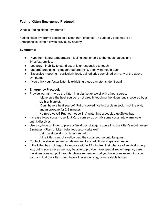#### **Fading Kitten Emergency Protocol:**

What is "fading kitten" syndrome?

Fading kitten syndrome describes a kitten that "crashes"—it suddenly becomes ill or unresponsive, even if it was previously healthy.

#### **Symptoms:**

- Hypothermia/low temperature—feeling cool or cold to the touch, particularly in limbs/extremities.
- Lethargy—inability to stand up, or is unresponsive to touch
- Labored breathing—exaggerated breathing, often with mouth open
- Excessive meowing—particularly loud, pained cries combined with any of the above symptoms
- If you think your foster kitten is exhibiting these symptoms, don't wait!

#### **● Emergency Protocol:**

- Provide warmth—wrap the kitten in a blanket or towel with a heat source.
	- Make sure the heat source is not directly touching the kitten, but is covered by a cloth or blanket.
	- Don't have a heat source? Put uncooked rice into a clean sock, knot the end, and microwave for 2-3 minutes.
	- No microwave? Put hot (not boiling) water into a doubled-up Ziploc bag.
- Increase blood sugar—use light Karo corn syrup or mix some sugar into warm water until it dissolves.
- Use a syringe or finger to place a few drops of sugar source into the kitten's mouth every 3 minutes. (Plain chicken baby food also works well)
	- Using a stopwatch or timer can help!
	- If the kitten cannot swallow, rub the sugar source onto its gums.
- Contact the shelter so we can determine if any additional steps are needed.
- If the kitten has not begun to improve within 15 minutes, their chance of survival is very low, but in some cases we may be able to provide more specialized emergency care. If the kitten does not pull through, please remember that you have done everything you can, and that the kitten could have other underlying, non-treatable issues.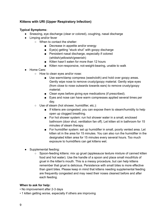#### **Kittens with URI (Upper Respiratory Infection)**

#### **Typical Symptoms:**

- Sneezing, eye discharge (clear or colored), coughing, nasal discharge
- Limping and/or fever
	- When to contact the shelter:
		- Decrease in appetite and/or energy
		- Eye(s) getting "stuck shut" with goopy discharge
		- Persistent nasal discharge, especially if colored (whitish/yellowish/greenish)
		- Kitten hasn't eaten for more than 12 hours
		- Kitten non-responsive, not-weight-bearing, unable to walk
- Home Care:
	- How to clean eyes and/or nose:
		- Use warm/damp compress (washcloth) and hold over goopy areas. Gently wipe nose to remove crusty/goopy material. Gently wipe eyes (from close to nose outwards towards ears) to remove crusty/goopy material.
		- Clean eyes before giving eye medications (if prescribed).
		- Eyes and nose can have warm compresses applied several times per day.
	- Use of steam (hot shower, humidifier, etc.):
		- If kittens are congested, you can expose them to steam/humidity to help open up clogged breathing.
		- For hot shower system: run hot shower water in a small, enclosed bathroom (door shut, ventilation fan off). Let kitten sit in bathroom for 15 minutes of steam therapy.
		- For humidifier system: set up humidifier in small, poorly vented area. Let kitten sit in the area for 15 minutes. You can also run the humidifier in the designated kitten area for 15 minutes every several hours. Too much exposure to humidifiers can get kittens wet.
- Supplemental feeding:
	- Spoon-feeding kittens: mix up gruel (applesauce texture mixture of canned kitten food and hot water). Use the handle of a spoon and place small mouthfuls of gruel in the kitten's mouth. This is a messy procedure, but can help kittens remember that gruel is delicious. Persistence with small bites is more effective than giant bites. Please keep in mind that kittens needing supplemental feeding are frequently congested and may need their noses cleaned before and after each feeding.

#### **When to ask for help:**

- No improvement after 2-3 days
- 1 kitten getting worse, especially if others are improving